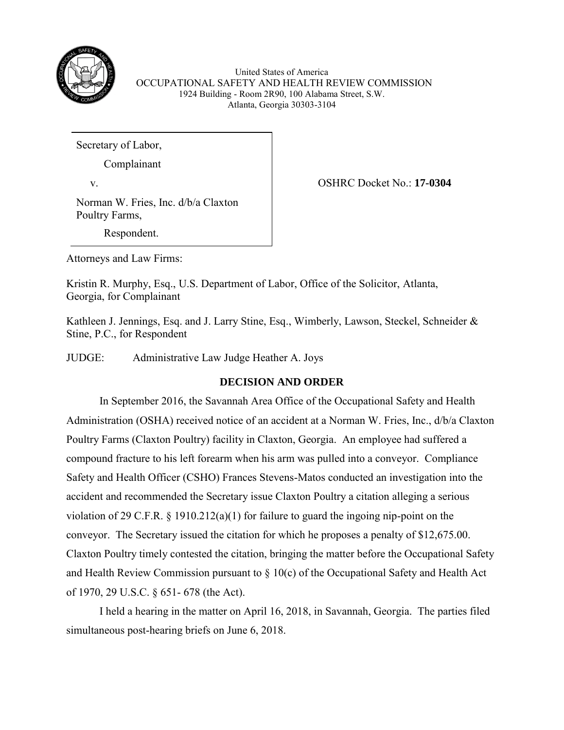

United States of America OCCUPATIONAL SAFETY AND HEALTH REVIEW COMMISSION 1924 Building - Room 2R90, 100 Alabama Street, S.W. Atlanta, Georgia 30303-3104

Secretary of Labor,

Complainant

v. OSHRC Docket No.: **17-0304**

Norman W. Fries, Inc. d/b/a Claxton Poultry Farms,

Respondent.

Attorneys and Law Firms:

Kristin R. Murphy, Esq., U.S. Department of Labor, Office of the Solicitor, Atlanta, Georgia, for Complainant

Kathleen J. Jennings, Esq. and J. Larry Stine, Esq., Wimberly, Lawson, Steckel, Schneider & Stine, P.C., for Respondent

JUDGE: Administrative Law Judge Heather A. Joys

# **DECISION AND ORDER**

In September 2016, the Savannah Area Office of the Occupational Safety and Health Administration (OSHA) received notice of an accident at a Norman W. Fries, Inc., d/b/a Claxton Poultry Farms (Claxton Poultry) facility in Claxton, Georgia. An employee had suffered a compound fracture to his left forearm when his arm was pulled into a conveyor. Compliance Safety and Health Officer (CSHO) Frances Stevens-Matos conducted an investigation into the accident and recommended the Secretary issue Claxton Poultry a citation alleging a serious violation of 29 C.F.R. § 1910.212(a)(1) for failure to guard the ingoing nip-point on the conveyor. The Secretary issued the citation for which he proposes a penalty of \$12,675.00. Claxton Poultry timely contested the citation, bringing the matter before the Occupational Safety and Health Review Commission pursuant to  $\S$  10(c) of the Occupational Safety and Health Act of 1970, 29 U.S.C. § 651- 678 (the Act).

I held a hearing in the matter on April 16, 2018, in Savannah, Georgia. The parties filed simultaneous post-hearing briefs on June 6, 2018.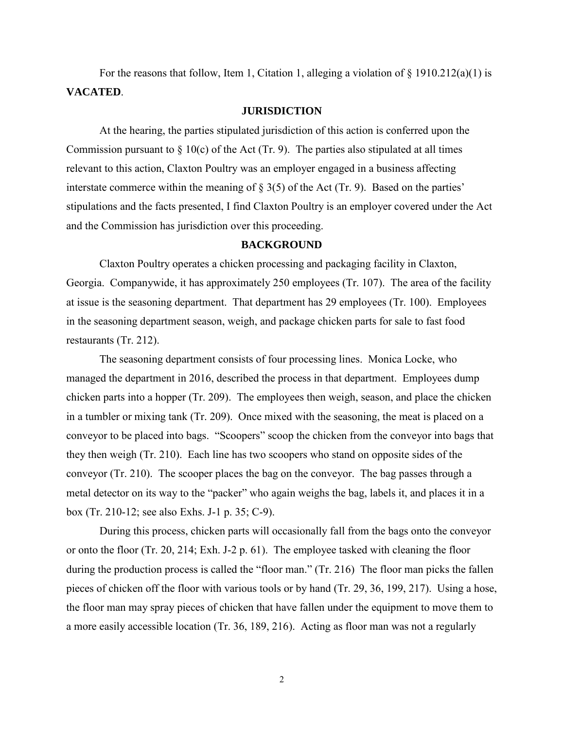For the reasons that follow, Item 1, Citation 1, alleging a violation of  $\S$  1910.212(a)(1) is **VACATED**.

#### **JURISDICTION**

At the hearing, the parties stipulated jurisdiction of this action is conferred upon the Commission pursuant to  $\S$  10(c) of the Act (Tr. 9). The parties also stipulated at all times relevant to this action, Claxton Poultry was an employer engaged in a business affecting interstate commerce within the meaning of  $\S 3(5)$  of the Act (Tr. 9). Based on the parties' stipulations and the facts presented, I find Claxton Poultry is an employer covered under the Act and the Commission has jurisdiction over this proceeding.

## **BACKGROUND**

Claxton Poultry operates a chicken processing and packaging facility in Claxton, Georgia. Companywide, it has approximately 250 employees (Tr. 107). The area of the facility at issue is the seasoning department. That department has 29 employees (Tr. 100). Employees in the seasoning department season, weigh, and package chicken parts for sale to fast food restaurants (Tr. 212).

The seasoning department consists of four processing lines. Monica Locke, who managed the department in 2016, described the process in that department. Employees dump chicken parts into a hopper (Tr. 209). The employees then weigh, season, and place the chicken in a tumbler or mixing tank (Tr. 209). Once mixed with the seasoning, the meat is placed on a conveyor to be placed into bags. "Scoopers" scoop the chicken from the conveyor into bags that they then weigh (Tr. 210). Each line has two scoopers who stand on opposite sides of the conveyor (Tr. 210). The scooper places the bag on the conveyor. The bag passes through a metal detector on its way to the "packer" who again weighs the bag, labels it, and places it in a box (Tr. 210-12; see also Exhs. J-1 p. 35; C-9).

During this process, chicken parts will occasionally fall from the bags onto the conveyor or onto the floor (Tr. 20, 214; Exh. J-2 p. 61). The employee tasked with cleaning the floor during the production process is called the "floor man." (Tr. 216) The floor man picks the fallen pieces of chicken off the floor with various tools or by hand (Tr. 29, 36, 199, 217). Using a hose, the floor man may spray pieces of chicken that have fallen under the equipment to move them to a more easily accessible location (Tr. 36, 189, 216). Acting as floor man was not a regularly

2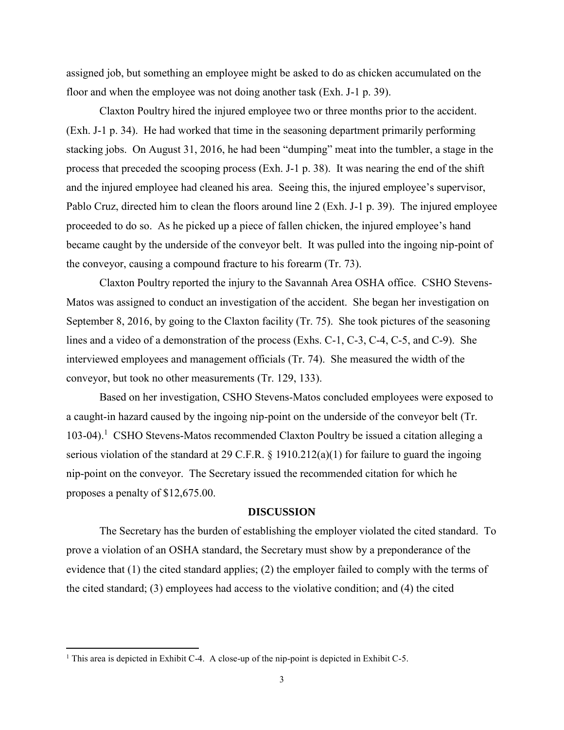assigned job, but something an employee might be asked to do as chicken accumulated on the floor and when the employee was not doing another task (Exh. J-1 p. 39).

Claxton Poultry hired the injured employee two or three months prior to the accident. (Exh. J-1 p. 34). He had worked that time in the seasoning department primarily performing stacking jobs. On August 31, 2016, he had been "dumping" meat into the tumbler, a stage in the process that preceded the scooping process (Exh. J-1 p. 38). It was nearing the end of the shift and the injured employee had cleaned his area. Seeing this, the injured employee's supervisor, Pablo Cruz, directed him to clean the floors around line 2 (Exh. J-1 p. 39). The injured employee proceeded to do so. As he picked up a piece of fallen chicken, the injured employee's hand became caught by the underside of the conveyor belt. It was pulled into the ingoing nip-point of the conveyor, causing a compound fracture to his forearm (Tr. 73).

Claxton Poultry reported the injury to the Savannah Area OSHA office. CSHO Stevens-Matos was assigned to conduct an investigation of the accident. She began her investigation on September 8, 2016, by going to the Claxton facility (Tr. 75). She took pictures of the seasoning lines and a video of a demonstration of the process (Exhs. C-1, C-3, C-4, C-5, and C-9). She interviewed employees and management officials (Tr. 74). She measured the width of the conveyor, but took no other measurements (Tr. 129, 133).

Based on her investigation, CSHO Stevens-Matos concluded employees were exposed to a caught-in hazard caused by the ingoing nip-point on the underside of the conveyor belt (Tr. 103-04).<sup>1</sup> CSHO Stevens-Matos recommended Claxton Poultry be issued a citation alleging a serious violation of the standard at 29 C.F.R. § 1910.212(a)(1) for failure to guard the ingoing nip-point on the conveyor. The Secretary issued the recommended citation for which he proposes a penalty of \$12,675.00.

### **DISCUSSION**

The Secretary has the burden of establishing the employer violated the cited standard. To prove a violation of an OSHA standard, the Secretary must show by a preponderance of the evidence that (1) the cited standard applies; (2) the employer failed to comply with the terms of the cited standard; (3) employees had access to the violative condition; and (4) the cited

 $\overline{\phantom{a}}$ 

<sup>&</sup>lt;sup>1</sup> This area is depicted in Exhibit C-4. A close-up of the nip-point is depicted in Exhibit C-5.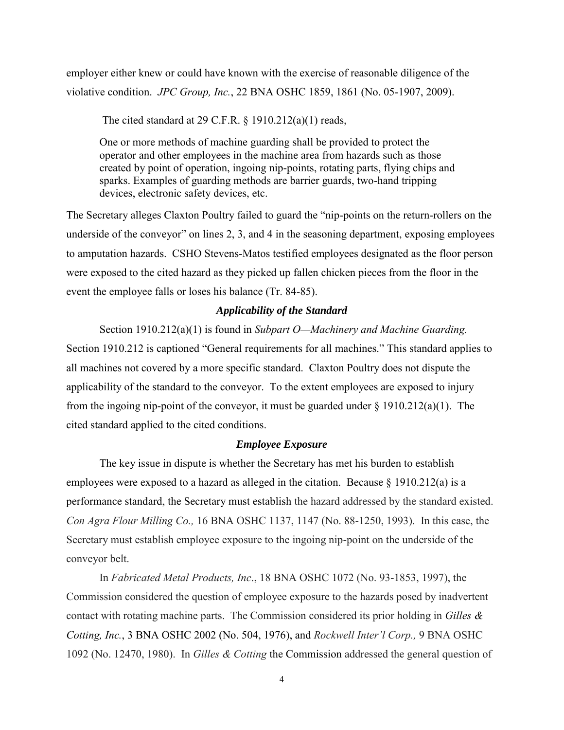employer either knew or could have known with the exercise of reasonable diligence of the violative condition. *JPC Group, Inc.*, 22 BNA OSHC 1859, 1861 (No. 05-1907, 2009).

The cited standard at 29 C.F.R. § 1910.212(a)(1) reads,

One or more methods of machine guarding shall be provided to protect the operator and other employees in the machine area from hazards such as those created by point of operation, ingoing nip-points, rotating parts, flying chips and sparks. Examples of guarding methods are barrier guards, two-hand tripping devices, electronic safety devices, etc.

The Secretary alleges Claxton Poultry failed to guard the "nip-points on the return-rollers on the underside of the conveyor" on lines 2, 3, and 4 in the seasoning department, exposing employees to amputation hazards. CSHO Stevens-Matos testified employees designated as the floor person were exposed to the cited hazard as they picked up fallen chicken pieces from the floor in the event the employee falls or loses his balance (Tr. 84-85).

### *Applicability of the Standard*

Section 1910.212(a)(1) is found in *Subpart O—Machinery and Machine Guarding.*  Section 1910.212 is captioned "General requirements for all machines." This standard applies to all machines not covered by a more specific standard. Claxton Poultry does not dispute the applicability of the standard to the conveyor. To the extent employees are exposed to injury from the ingoing nip-point of the conveyor, it must be guarded under  $\S 1910.212(a)(1)$ . The cited standard applied to the cited conditions.

#### *Employee Exposure*

The key issue in dispute is whether the Secretary has met his burden to establish employees were exposed to a hazard as alleged in the citation. Because  $\S 1910.212(a)$  is a performance standard, the Secretary must establish the hazard addressed by the standard existed. *Con Agra Flour Milling Co.,* 16 BNA OSHC 1137, 1147 (No. 88-1250, 1993). In this case, the Secretary must establish employee exposure to the ingoing nip-point on the underside of the conveyor belt.

In *Fabricated Metal Products, Inc*., 18 BNA OSHC 1072 (No. 93-1853, 1997), the Commission considered the question of employee exposure to the hazards posed by inadvertent contact with rotating machine parts. The Commission considered its prior holding in *[Gilles &](https://a.next.westlaw.com/Link/Document/FullText?findType=Y&serNum=1976160848&pubNum=0003227&originatingDoc=I516ba56887d911e5a807ad48145ed9f1&refType=CA&originationContext=document&transitionType=DocumentItem&contextData=(sc.Search))  Cotting, Inc.*[, 3 BNA OSHC 2002 \(No. 504, 1976\),](https://a.next.westlaw.com/Link/Document/FullText?findType=Y&serNum=1976160848&pubNum=0003227&originatingDoc=I516ba56887d911e5a807ad48145ed9f1&refType=CA&originationContext=document&transitionType=DocumentItem&contextData=(sc.Search)) and *Rockwell Inter'l Corp.,* 9 BNA OSHC 1092 (No. 12470, 1980). In *Gilles & Cotting* the Commission addressed the general question of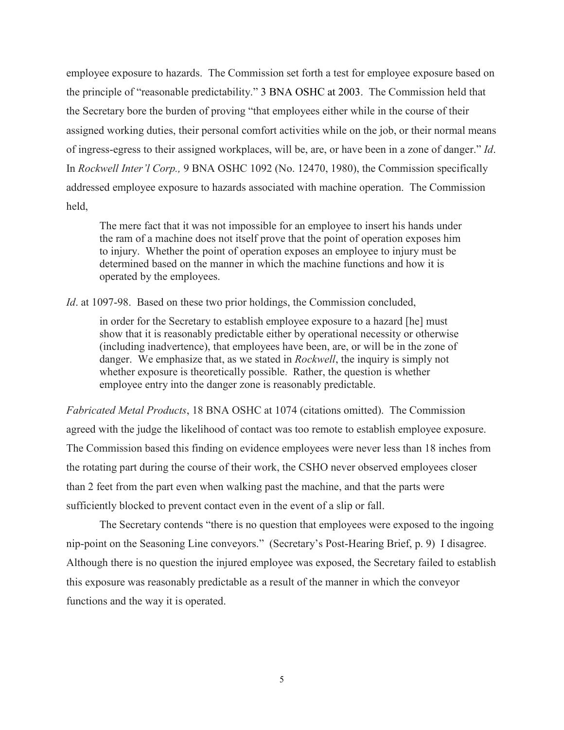employee exposure to hazards. The Commission set forth a test for employee exposure based on the principle of "reasonable predictability." [3 BNA OSHC at 2003.](https://a.next.westlaw.com/Link/Document/FullText?findType=Y&serNum=1976160848&pubNum=0003227&originatingDoc=I516ba56887d911e5a807ad48145ed9f1&refType=CA&fi=co_pp_sp_3227_2003&originationContext=document&transitionType=DocumentItem&contextData=(sc.Search)#co_pp_sp_3227_2003) The Commission held that the Secretary bore the burden of proving "that employees either while in the course of their assigned working duties, their personal comfort activities while on the job, or their normal means of ingress-egress to their assigned workplaces, will be, are, or have been in a zone of danger." *Id*. In *Rockwell Inter'l Corp.,* 9 BNA OSHC 1092 (No. 12470, 1980), the Commission specifically addressed employee exposure to hazards associated with machine operation. The Commission held,

The mere fact that it was not impossible for an employee to insert his hands under the ram of a machine does not itself prove that the point of operation exposes him to injury. Whether the point of operation exposes an employee to injury must be determined based on the manner in which the machine functions and how it is operated by the employees.

*Id*. at 1097-98. Based on these two prior holdings, the Commission concluded,

in order for the Secretary to establish employee exposure to a hazard [he] must show that it is reasonably predictable either by operational necessity or otherwise (including inadvertence), that employees have been, are, or will be in the zone of danger. We emphasize that, as we stated in *Rockwell*, the inquiry is simply not whether exposure is theoretically possible. Rather, the question is whether employee entry into the danger zone is reasonably predictable.

*Fabricated Metal Products*, 18 BNA OSHC at 1074 (citations omitted). The Commission agreed with the judge the likelihood of contact was too remote to establish employee exposure. The Commission based this finding on evidence employees were never less than 18 inches from the rotating part during the course of their work, the CSHO never observed employees closer than 2 feet from the part even when walking past the machine, and that the parts were sufficiently blocked to prevent contact even in the event of a slip or fall.

The Secretary contends "there is no question that employees were exposed to the ingoing nip-point on the Seasoning Line conveyors." (Secretary's Post-Hearing Brief, p. 9) I disagree. Although there is no question the injured employee was exposed, the Secretary failed to establish this exposure was reasonably predictable as a result of the manner in which the conveyor functions and the way it is operated.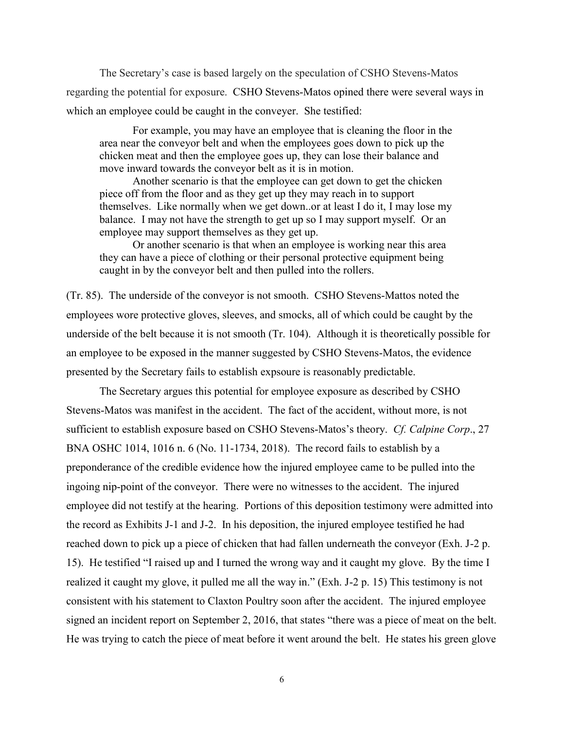The Secretary's case is based largely on the speculation of CSHO Stevens-Matos regarding the potential for exposure. CSHO Stevens-Matos opined there were several ways in which an employee could be caught in the conveyer. She testified:

For example, you may have an employee that is cleaning the floor in the area near the conveyor belt and when the employees goes down to pick up the chicken meat and then the employee goes up, they can lose their balance and move inward towards the conveyor belt as it is in motion.

Another scenario is that the employee can get down to get the chicken piece off from the floor and as they get up they may reach in to support themselves. Like normally when we get down..or at least I do it, I may lose my balance. I may not have the strength to get up so I may support myself. Or an employee may support themselves as they get up.

Or another scenario is that when an employee is working near this area they can have a piece of clothing or their personal protective equipment being caught in by the conveyor belt and then pulled into the rollers.

(Tr. 85). The underside of the conveyor is not smooth. CSHO Stevens-Mattos noted the employees wore protective gloves, sleeves, and smocks, all of which could be caught by the underside of the belt because it is not smooth (Tr. 104). Although it is theoretically possible for an employee to be exposed in the manner suggested by CSHO Stevens-Matos, the evidence presented by the Secretary fails to establish expsoure is reasonably predictable.

The Secretary argues this potential for employee exposure as described by CSHO Stevens-Matos was manifest in the accident. The fact of the accident, without more, is not sufficient to establish exposure based on CSHO Stevens-Matos's theory. *Cf. Calpine Corp*., 27 BNA OSHC 1014, 1016 n. 6 (No. 11-1734, 2018). The record fails to establish by a preponderance of the credible evidence how the injured employee came to be pulled into the ingoing nip-point of the conveyor. There were no witnesses to the accident. The injured employee did not testify at the hearing. Portions of this deposition testimony were admitted into the record as Exhibits J-1 and J-2. In his deposition, the injured employee testified he had reached down to pick up a piece of chicken that had fallen underneath the conveyor (Exh. J-2 p. 15). He testified "I raised up and I turned the wrong way and it caught my glove. By the time I realized it caught my glove, it pulled me all the way in." (Exh. J-2 p. 15) This testimony is not consistent with his statement to Claxton Poultry soon after the accident. The injured employee signed an incident report on September 2, 2016, that states "there was a piece of meat on the belt. He was trying to catch the piece of meat before it went around the belt. He states his green glove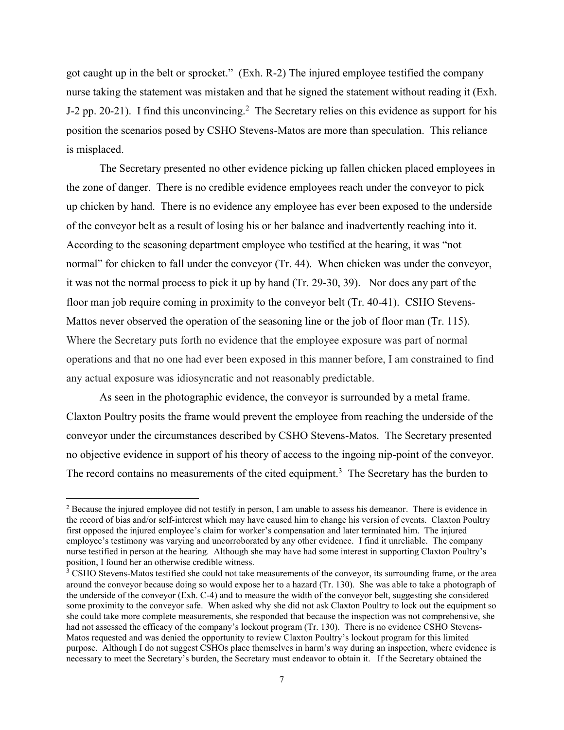got caught up in the belt or sprocket." (Exh. R-2) The injured employee testified the company nurse taking the statement was mistaken and that he signed the statement without reading it (Exh. J-2 pp. 20-21). I find this unconvincing.<sup>2</sup> The Secretary relies on this evidence as support for his position the scenarios posed by CSHO Stevens-Matos are more than speculation. This reliance is misplaced.

The Secretary presented no other evidence picking up fallen chicken placed employees in the zone of danger. There is no credible evidence employees reach under the conveyor to pick up chicken by hand. There is no evidence any employee has ever been exposed to the underside of the conveyor belt as a result of losing his or her balance and inadvertently reaching into it. According to the seasoning department employee who testified at the hearing, it was "not normal" for chicken to fall under the conveyor (Tr. 44). When chicken was under the conveyor, it was not the normal process to pick it up by hand (Tr. 29-30, 39). Nor does any part of the floor man job require coming in proximity to the conveyor belt (Tr. 40-41). CSHO Stevens-Mattos never observed the operation of the seasoning line or the job of floor man (Tr. 115). Where the Secretary puts forth no evidence that the employee exposure was part of normal operations and that no one had ever been exposed in this manner before, I am constrained to find any actual exposure was idiosyncratic and not reasonably predictable.

As seen in the photographic evidence, the conveyor is surrounded by a metal frame. Claxton Poultry posits the frame would prevent the employee from reaching the underside of the conveyor under the circumstances described by CSHO Stevens-Matos. The Secretary presented no objective evidence in support of his theory of access to the ingoing nip-point of the conveyor. The record contains no measurements of the cited equipment.<sup>3</sup> The Secretary has the burden to

 $\overline{\phantom{a}}$ 

<sup>&</sup>lt;sup>2</sup> Because the injured employee did not testify in person, I am unable to assess his demeanor. There is evidence in the record of bias and/or self-interest which may have caused him to change his version of events. Claxton Poultry first opposed the injured employee's claim for worker's compensation and later terminated him. The injured employee's testimony was varying and uncorroborated by any other evidence. I find it unreliable. The company nurse testified in person at the hearing. Although she may have had some interest in supporting Claxton Poultry's position, I found her an otherwise credible witness.

<sup>&</sup>lt;sup>3</sup> CSHO Stevens-Matos testified she could not take measurements of the conveyor, its surrounding frame, or the area around the conveyor because doing so would expose her to a hazard (Tr. 130). She was able to take a photograph of the underside of the conveyor (Exh. C-4) and to measure the width of the conveyor belt, suggesting she considered some proximity to the conveyor safe. When asked why she did not ask Claxton Poultry to lock out the equipment so she could take more complete measurements, she responded that because the inspection was not comprehensive, she had not assessed the efficacy of the company's lockout program (Tr. 130). There is no evidence CSHO Stevens-Matos requested and was denied the opportunity to review Claxton Poultry's lockout program for this limited purpose. Although I do not suggest CSHOs place themselves in harm's way during an inspection, where evidence is necessary to meet the Secretary's burden, the Secretary must endeavor to obtain it. If the Secretary obtained the